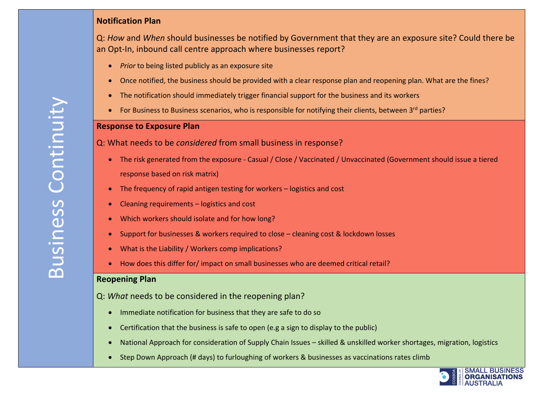# **Notification Plan**

Q: *How* and *When* should businesses be notified by Government that they are an exposure site? Could there be an Opt-In, inbound call centre approach where businesses report?

- *Prior* to being listed publicly as an exposure site
- Once notified, the business should be provided with a clear response plan and reopening plan. What are the fines?
- The notification should immediately trigger financial support for the business and its workers
- For Business to Business scenarios, who is responsible for notifying their clients, between 3<sup>rd</sup> parties?

#### **Response to Exposure Plan**

Q: What needs to be *considered* from small business in response?

- The risk generated from the exposure Casual / Close / Vaccinated / Unvaccinated (Government should issue a tiered response based on risk matrix)
- The frequency of rapid antigen testing for workers logistics and cost
- Cleaning requirements logistics and cost
- Which workers should isolate and for how long?
- Support for businesses & workers required to close cleaning cost & lockdown losses
- What is the Liability / Workers comp implications?
- How does this differ for/ impact on small businesses who are deemed critical retail?

#### **Reopening Plan**

Q: *What* needs to be considered in the reopening plan?

- Immediate notification for business that they are safe to do so
- Certification that the business is safe to open (e.g a sign to display to the public)
- National Approach for consideration of Supply Chain Issues skilled & unskilled worker shortages, migration, logistics
- Step Down Approach (# days) to furloughing of workers & businesses as vaccinations rates climb

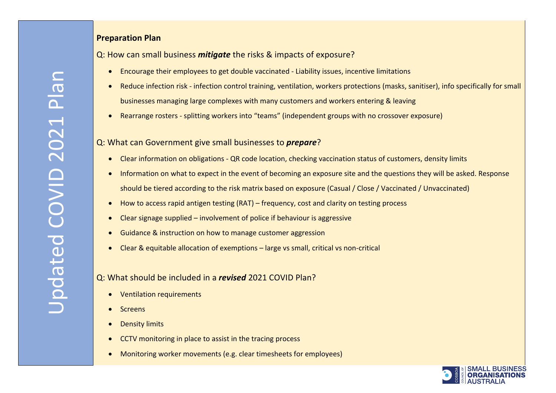# **Preparation Plan**

Q: How can small business *mitigate* the risks & impacts of exposure?

- Encourage their employees to get double vaccinated Liability issues, incentive limitations
- Reduce infection risk infection control training, ventilation, workers protections (masks, sanitiser), info specifically for small businesses managing large complexes with many customers and workers entering & leaving
- Rearrange rosters splitting workers into "teams" (independent groups with no crossover exposure)

## Q: What can Government give small businesses to *prepare*?

- Clear information on obligations QR code location, checking vaccination status of customers, density limits
- Information on what to expect in the event of becoming an exposure site and the questions they will be asked. Response should be tiered according to the risk matrix based on exposure (Casual / Close / Vaccinated / Unvaccinated)
- How to access rapid antigen testing (RAT) frequency, cost and clarity on testing process
- Clear signage supplied involvement of police if behaviour is aggressive
- Guidance & instruction on how to manage customer aggression
- Clear & equitable allocation of exemptions large vs small, critical vs non-critical

# Q: What should be included in a *revised* 2021 COVID Plan?

- Ventilation requirements
- **Screens**
- **Density limits**
- CCTV monitoring in place to assist in the tracing process
- Monitoring worker movements (e.g. clear timesheets for employees)